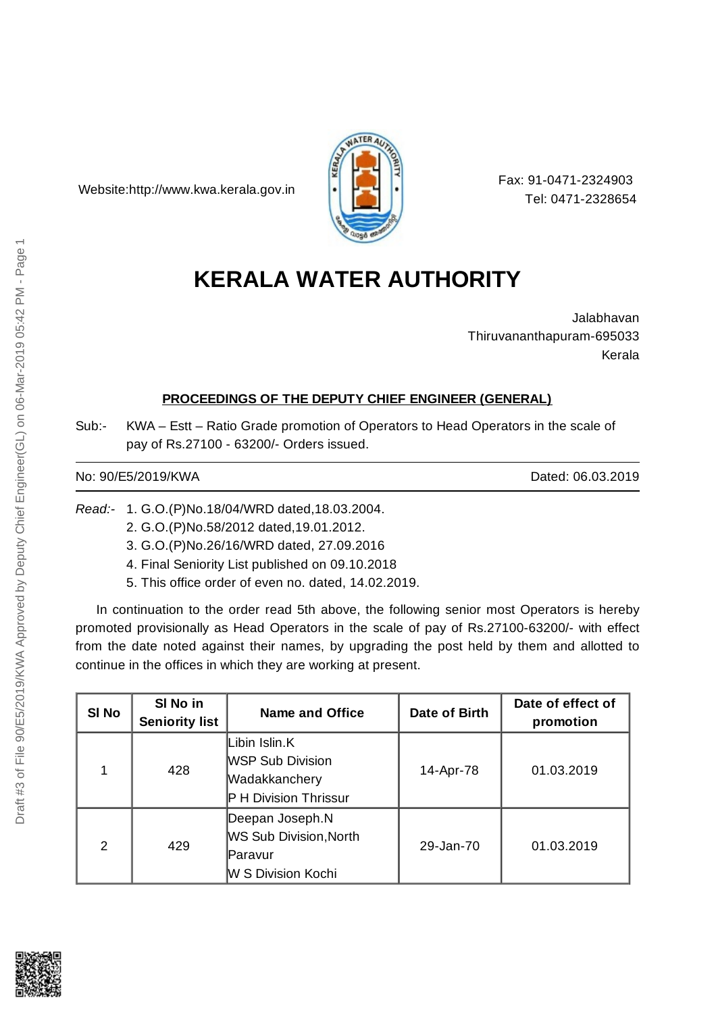Website:http://www.kwa.kerala.gov.in



Fax: 91-0471-2324903 Tel: 0471-2328654

# **KERALA WATER AUTHORITY**

Jalabhavan Thiruvananthapuram-695033 Kerala

## **PROCEEDINGS OF THE DEPUTY CHIEF ENGINEER (GENERAL)**

Sub:- KWA – Estt – Ratio Grade promotion of Operators to Head Operators in the scale of pay of Rs.27100 - 63200/- Orders issued.

### No: 90/E5/2019/KWA Dated: 06.03.2019

*Read:-* 1. G.O.(P)No.18/04/WRD dated,18.03.2004.

- 2. G.O.(P)No.58/2012 dated,19.01.2012.
- 3. G.O.(P)No.26/16/WRD dated, 27.09.2016
- 4. Final Seniority List published on 09.10.2018
- 5. This office order of even no. dated, 14.02.2019.

In continuation to the order read 5th above, the following senior most Operators is hereby promoted provisionally as Head Operators in the scale of pay of Rs.27100-63200/- with effect from the date noted against their names, by upgrading the post held by them and allotted to continue in the offices in which they are working at present.

| SI No         | SI No in<br><b>Seniority list</b> | Name and Office                                                                           | Date of Birth | Date of effect of<br>promotion |
|---------------|-----------------------------------|-------------------------------------------------------------------------------------------|---------------|--------------------------------|
| 1             | 428                               | Libin Islin.K<br><b>WSP Sub Division</b><br>Wadakkanchery<br><b>P H Division Thrissur</b> | 14-Apr-78     | 01.03.2019                     |
| $\mathcal{P}$ | 429                               | Deepan Joseph.N<br>WS Sub Division, North<br>lParavur<br>W S Division Kochi               | 29-Jan-70     | 01.03.2019                     |